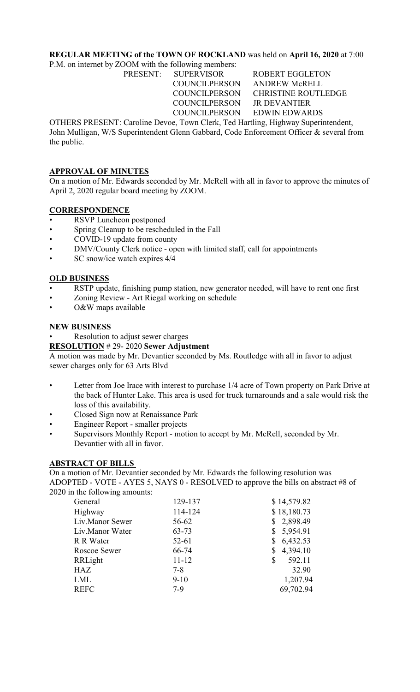### **REGULAR MEETING of the TOWN OF ROCKLAND** was held on **April 16, 2020** at 7:00

P.M. on internet by ZOOM with the following members:

COUNCILPERSON JR DEVANTIER

PRESENT: SUPERVISOR ROBERT EGGLETON COUNCILPERSON ANDREW McRELL COUNCILPERSON CHRISTINE ROUTLEDGE COUNCILPERSON EDWIN EDWARDS

OTHERS PRESENT: Caroline Devoe, Town Clerk, Ted Hartling, Highway Superintendent, John Mulligan, W/S Superintendent Glenn Gabbard, Code Enforcement Officer & several from the public.

# **APPROVAL OF MINUTES**

On a motion of Mr. Edwards seconded by Mr. McRell with all in favor to approve the minutes of April 2, 2020 regular board meeting by ZOOM.

### **CORRESPONDENCE**

- RSVP Luncheon postponed
- Spring Cleanup to be rescheduled in the Fall
- COVID-19 update from county
- DMV/County Clerk notice open with limited staff, call for appointments
- SC snow/ice watch expires 4/4

### **OLD BUSINESS**

- RSTP update, finishing pump station, new generator needed, will have to rent one first
- Zoning Review Art Riegal working on schedule
- O&W maps available

### **NEW BUSINESS**

Resolution to adjust sewer charges

#### **RESOLUTION** # 29- 2020 **Sewer Adjustment**

A motion was made by Mr. Devantier seconded by Ms. Routledge with all in favor to adjust sewer charges only for 63 Arts Blvd

- Letter from Joe Irace with interest to purchase 1/4 acre of Town property on Park Drive at the back of Hunter Lake. This area is used for truck turnarounds and a sale would risk the loss of this availability.
- Closed Sign now at Renaissance Park
- Engineer Report smaller projects
- Supervisors Monthly Report motion to accept by Mr. McRell, seconded by Mr. Devantier with all in favor.

#### **ABSTRACT OF BILLS**

On a motion of Mr. Devantier seconded by Mr. Edwards the following resolution was ADOPTED - VOTE - AYES 5, NAYS 0 - RESOLVED to approve the bills on abstract #8 of 2020 in the following amounts:

| General         | 129-137   | \$14,579.82  |
|-----------------|-----------|--------------|
| Highway         | 114-124   | \$18,180.73  |
| Liv.Manor Sewer | 56-62     | \$2,898.49   |
| Liv.Manor Water | $63 - 73$ | \$5,954.91   |
| R R Water       | 52-61     | \$6,432.53   |
| Roscoe Sewer    | 66-74     | \$4,394.10   |
| RRLight         | $11 - 12$ | 592.11<br>\$ |
| HAZ             | $7 - 8$   | 32.90        |
| LML             | $9-10$    | 1,207.94     |
| <b>REFC</b>     | $7-9$     | 69,702.94    |